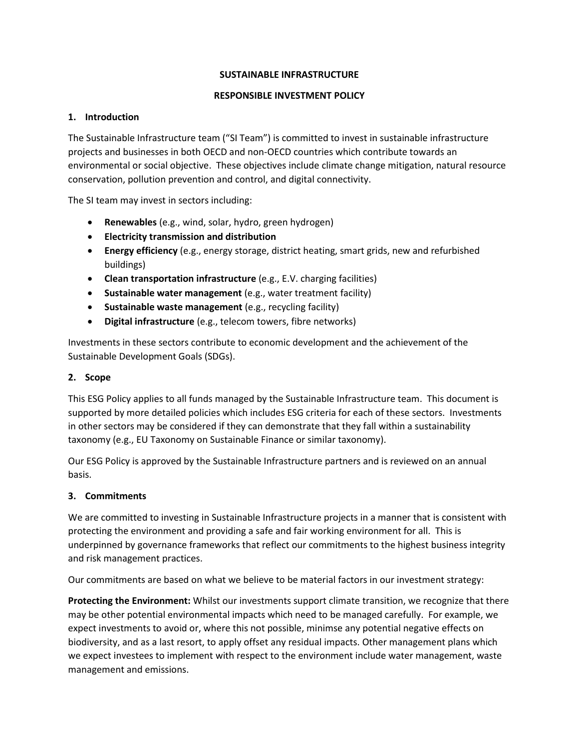### **SUSTAINABLE INFRASTRUCTURE**

### **RESPONSIBLE INVESTMENT POLICY**

### **1. Introduction**

The Sustainable Infrastructure team ("SI Team") is committed to invest in sustainable infrastructure projects and businesses in both OECD and non-OECD countries which contribute towards an environmental or social objective. These objectives include climate change mitigation, natural resource conservation, pollution prevention and control, and digital connectivity.

The SI team may invest in sectors including:

- **Renewables** (e.g., wind, solar, hydro, green hydrogen)
- **Electricity transmission and distribution**
- **Energy efficiency** (e.g., energy storage, district heating, smart grids, new and refurbished buildings)
- **Clean transportation infrastructure** (e.g., E.V. charging facilities)
- **Sustainable water management** (e.g., water treatment facility)
- **Sustainable waste management** (e.g., recycling facility)
- **Digital infrastructure** (e.g., telecom towers, fibre networks)

Investments in these sectors contribute to economic development and the achievement of the Sustainable Development Goals (SDGs).

### **2. Scope**

This ESG Policy applies to all funds managed by the Sustainable Infrastructure team. This document is supported by more detailed policies which includes ESG criteria for each of these sectors. Investments in other sectors may be considered if they can demonstrate that they fall within a sustainability taxonomy (e.g., EU Taxonomy on Sustainable Finance or similar taxonomy).

Our ESG Policy is approved by the Sustainable Infrastructure partners and is reviewed on an annual basis.

# **3. Commitments**

We are committed to investing in Sustainable Infrastructure projects in a manner that is consistent with protecting the environment and providing a safe and fair working environment for all. This is underpinned by governance frameworks that reflect our commitments to the highest business integrity and risk management practices.

Our commitments are based on what we believe to be material factors in our investment strategy:

**Protecting the Environment:** Whilst our investments support climate transition, we recognize that there may be other potential environmental impacts which need to be managed carefully. For example, we expect investments to avoid or, where this not possible, minimse any potential negative effects on biodiversity, and as a last resort, to apply offset any residual impacts. Other management plans which we expect investees to implement with respect to the environment include water management, waste management and emissions.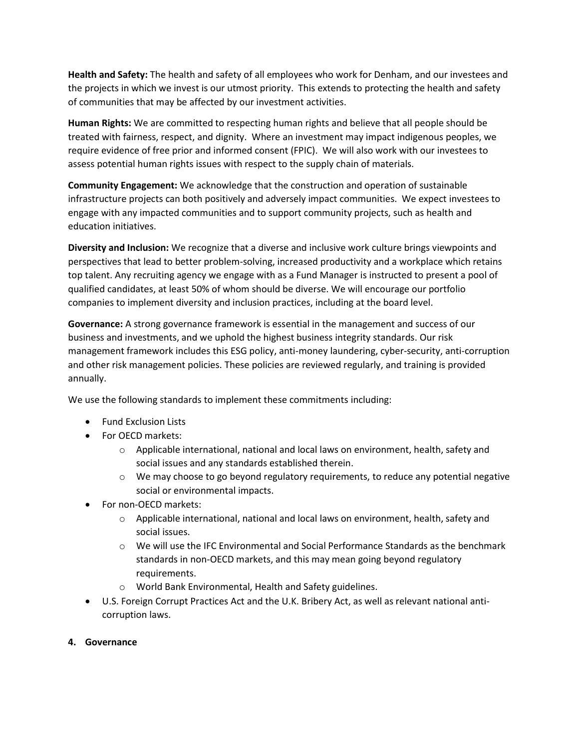**Health and Safety:** The health and safety of all employees who work for Denham, and our investees and the projects in which we invest is our utmost priority. This extends to protecting the health and safety of communities that may be affected by our investment activities.

**Human Rights:** We are committed to respecting human rights and believe that all people should be treated with fairness, respect, and dignity. Where an investment may impact indigenous peoples, we require evidence of free prior and informed consent (FPIC). We will also work with our investees to assess potential human rights issues with respect to the supply chain of materials.

**Community Engagement:** We acknowledge that the construction and operation of sustainable infrastructure projects can both positively and adversely impact communities. We expect investees to engage with any impacted communities and to support community projects, such as health and education initiatives.

**Diversity and Inclusion:** We recognize that a diverse and inclusive work culture brings viewpoints and perspectives that lead to better problem-solving, increased productivity and a workplace which retains top talent. Any recruiting agency we engage with as a Fund Manager is instructed to present a pool of qualified candidates, at least 50% of whom should be diverse. We will encourage our portfolio companies to implement diversity and inclusion practices, including at the board level.

**Governance:** A strong governance framework is essential in the management and success of our business and investments, and we uphold the highest business integrity standards. Our risk management framework includes this ESG policy, anti-money laundering, cyber-security, anti-corruption and other risk management policies. These policies are reviewed regularly, and training is provided annually.

We use the following standards to implement these commitments including:

- Fund Exclusion Lists
- For OECD markets:
	- $\circ$  Applicable international, national and local laws on environment, health, safety and social issues and any standards established therein.
	- $\circ$  We may choose to go beyond regulatory requirements, to reduce any potential negative social or environmental impacts.
- For non-OECD markets:
	- o Applicable international, national and local laws on environment, health, safety and social issues.
	- $\circ$  We will use the IFC Environmental and Social Performance Standards as the benchmark standards in non-OECD markets, and this may mean going beyond regulatory requirements.
	- World Bank Environmental, Health and Safety guidelines.
- U.S. Foreign Corrupt Practices Act and the U.K. Bribery Act, as well as relevant national anticorruption laws.

#### **4. Governance**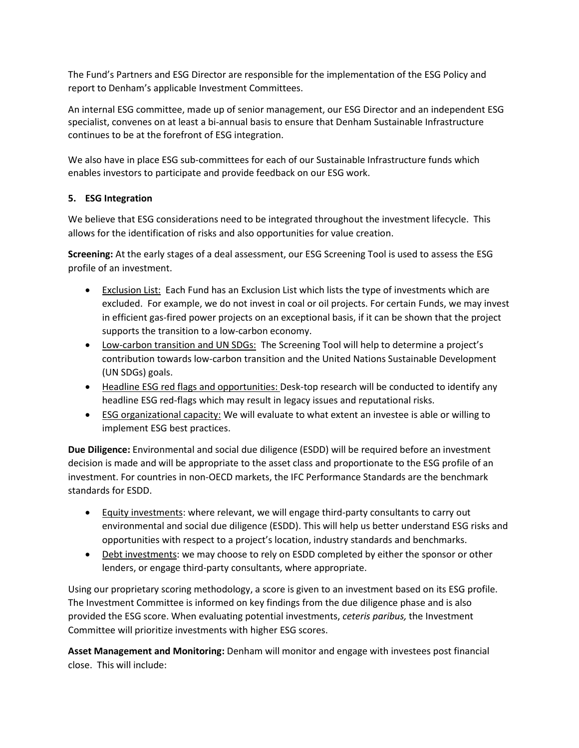The Fund's Partners and ESG Director are responsible for the implementation of the ESG Policy and report to Denham's applicable Investment Committees.

An internal ESG committee, made up of senior management, our ESG Director and an independent ESG specialist, convenes on at least a bi-annual basis to ensure that Denham Sustainable Infrastructure continues to be at the forefront of ESG integration.

We also have in place ESG sub-committees for each of our Sustainable Infrastructure funds which enables investors to participate and provide feedback on our ESG work.

# **5. ESG Integration**

We believe that ESG considerations need to be integrated throughout the investment lifecycle. This allows for the identification of risks and also opportunities for value creation.

**Screening:** At the early stages of a deal assessment, our ESG Screening Tool is used to assess the ESG profile of an investment.

- Exclusion List: Each Fund has an Exclusion List which lists the type of investments which are excluded. For example, we do not invest in coal or oil projects. For certain Funds, we may invest in efficient gas-fired power projects on an exceptional basis, if it can be shown that the project supports the transition to a low-carbon economy.
- Low-carbon transition and UN SDGs: The Screening Tool will help to determine a project's contribution towards low-carbon transition and the United Nations Sustainable Development (UN SDGs) goals.
- Headline ESG red flags and opportunities: Desk-top research will be conducted to identify any headline ESG red-flags which may result in legacy issues and reputational risks.
- ESG organizational capacity: We will evaluate to what extent an investee is able or willing to implement ESG best practices.

**Due Diligence:** Environmental and social due diligence (ESDD) will be required before an investment decision is made and will be appropriate to the asset class and proportionate to the ESG profile of an investment. For countries in non-OECD markets, the IFC Performance Standards are the benchmark standards for ESDD.

- Equity investments: where relevant, we will engage third-party consultants to carry out environmental and social due diligence (ESDD). This will help us better understand ESG risks and opportunities with respect to a project's location, industry standards and benchmarks.
- Debt investments: we may choose to rely on ESDD completed by either the sponsor or other lenders, or engage third-party consultants, where appropriate.

Using our proprietary scoring methodology, a score is given to an investment based on its ESG profile. The Investment Committee is informed on key findings from the due diligence phase and is also provided the ESG score. When evaluating potential investments, *ceteris paribus,* the Investment Committee will prioritize investments with higher ESG scores.

**Asset Management and Monitoring:** Denham will monitor and engage with investees post financial close. This will include: